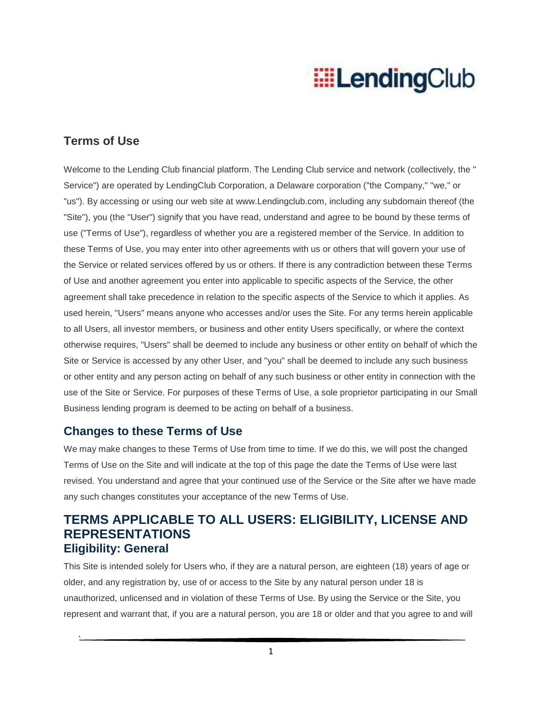### **Terms of Use**

Welcome to the Lending Club financial platform. The Lending Club service and network (collectively, the " Service") are operated by LendingClub Corporation, a Delaware corporation ("the Company," "we," or "us"). By accessing or using our web site at www.Lendingclub.com, including any subdomain thereof (the "Site"), you (the "User") signify that you have read, understand and agree to be bound by these terms of use ("Terms of Use"), regardless of whether you are a registered member of the Service. In addition to these Terms of Use, you may enter into other agreements with us or others that will govern your use of the Service or related services offered by us or others. If there is any contradiction between these Terms of Use and another agreement you enter into applicable to specific aspects of the Service, the other agreement shall take precedence in relation to the specific aspects of the Service to which it applies. As used herein, "Users" means anyone who accesses and/or uses the Site. For any terms herein applicable to all Users, all investor members, or business and other entity Users specifically, or where the context otherwise requires, "Users" shall be deemed to include any business or other entity on behalf of which the Site or Service is accessed by any other User, and "you" shall be deemed to include any such business or other entity and any person acting on behalf of any such business or other entity in connection with the use of the Site or Service. For purposes of these Terms of Use, a sole proprietor participating in our Small Business lending program is deemed to be acting on behalf of a business.

#### **Changes to these Terms of Use**

`

We may make changes to these Terms of Use from time to time. If we do this, we will post the changed Terms of Use on the Site and will indicate at the top of this page the date the Terms of Use were last revised. You understand and agree that your continued use of the Service or the Site after we have made any such changes constitutes your acceptance of the new Terms of Use.

### **TERMS APPLICABLE TO ALL USERS: ELIGIBILITY, LICENSE AND REPRESENTATIONS Eligibility: General**

This Site is intended solely for Users who, if they are a natural person, are eighteen (18) years of age or older, and any registration by, use of or access to the Site by any natural person under 18 is unauthorized, unlicensed and in violation of these Terms of Use. By using the Service or the Site, you represent and warrant that, if you are a natural person, you are 18 or older and that you agree to and will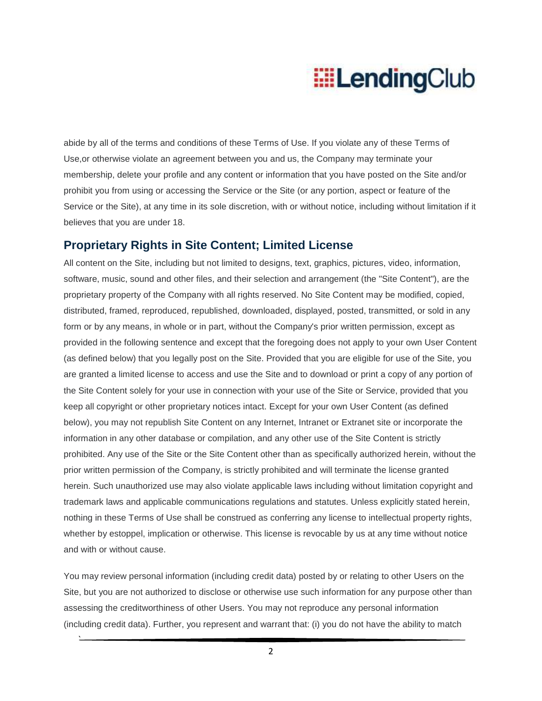abide by all of the terms and conditions of these Terms of Use. If you violate any of these Terms of Use,or otherwise violate an agreement between you and us, the Company may terminate your membership, delete your profile and any content or information that you have posted on the Site and/or prohibit you from using or accessing the Service or the Site (or any portion, aspect or feature of the Service or the Site), at any time in its sole discretion, with or without notice, including without limitation if it believes that you are under 18.

#### **Proprietary Rights in Site Content; Limited License**

All content on the Site, including but not limited to designs, text, graphics, pictures, video, information, software, music, sound and other files, and their selection and arrangement (the "Site Content"), are the proprietary property of the Company with all rights reserved. No Site Content may be modified, copied, distributed, framed, reproduced, republished, downloaded, displayed, posted, transmitted, or sold in any form or by any means, in whole or in part, without the Company's prior written permission, except as provided in the following sentence and except that the foregoing does not apply to your own User Content (as defined below) that you legally post on the Site. Provided that you are eligible for use of the Site, you are granted a limited license to access and use the Site and to download or print a copy of any portion of the Site Content solely for your use in connection with your use of the Site or Service, provided that you keep all copyright or other proprietary notices intact. Except for your own User Content (as defined below), you may not republish Site Content on any Internet, Intranet or Extranet site or incorporate the information in any other database or compilation, and any other use of the Site Content is strictly prohibited. Any use of the Site or the Site Content other than as specifically authorized herein, without the prior written permission of the Company, is strictly prohibited and will terminate the license granted herein. Such unauthorized use may also violate applicable laws including without limitation copyright and trademark laws and applicable communications regulations and statutes. Unless explicitly stated herein, nothing in these Terms of Use shall be construed as conferring any license to intellectual property rights, whether by estoppel, implication or otherwise. This license is revocable by us at any time without notice and with or without cause.

You may review personal information (including credit data) posted by or relating to other Users on the Site, but you are not authorized to disclose or otherwise use such information for any purpose other than assessing the creditworthiness of other Users. You may not reproduce any personal information (including credit data). Further, you represent and warrant that: (i) you do not have the ability to match

2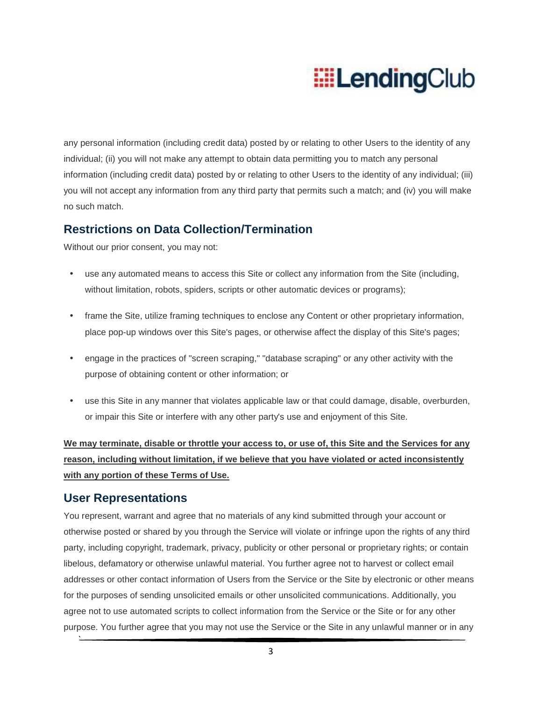any personal information (including credit data) posted by or relating to other Users to the identity of any individual; (ii) you will not make any attempt to obtain data permitting you to match any personal information (including credit data) posted by or relating to other Users to the identity of any individual; (iii) you will not accept any information from any third party that permits such a match; and (iv) you will make no such match.

### **Restrictions on Data Collection/Termination**

Without our prior consent, you may not:

- use any automated means to access this Site or collect any information from the Site (including, without limitation, robots, spiders, scripts or other automatic devices or programs);
- frame the Site, utilize framing techniques to enclose any Content or other proprietary information, place pop-up windows over this Site's pages, or otherwise affect the display of this Site's pages;
- engage in the practices of "screen scraping," "database scraping" or any other activity with the purpose of obtaining content or other information; or
- use this Site in any manner that violates applicable law or that could damage, disable, overburden, or impair this Site or interfere with any other party's use and enjoyment of this Site.

**We may terminate, disable or throttle your access to, or use of, this Site and the Services for any reason, including without limitation, if we believe that you have violated or acted inconsistently with any portion of these Terms of Use.**

#### **User Representations**

`

You represent, warrant and agree that no materials of any kind submitted through your account or otherwise posted or shared by you through the Service will violate or infringe upon the rights of any third party, including copyright, trademark, privacy, publicity or other personal or proprietary rights; or contain libelous, defamatory or otherwise unlawful material. You further agree not to harvest or collect email addresses or other contact information of Users from the Service or the Site by electronic or other means for the purposes of sending unsolicited emails or other unsolicited communications. Additionally, you agree not to use automated scripts to collect information from the Service or the Site or for any other purpose. You further agree that you may not use the Service or the Site in any unlawful manner or in any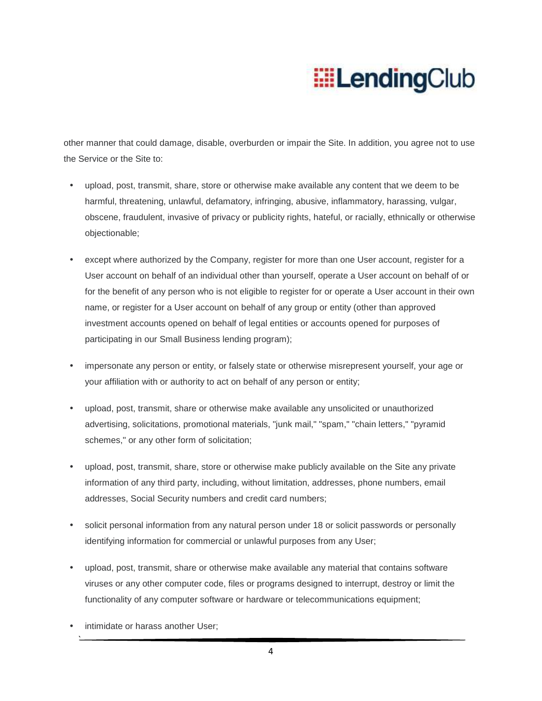other manner that could damage, disable, overburden or impair the Site. In addition, you agree not to use the Service or the Site to:

- upload, post, transmit, share, store or otherwise make available any content that we deem to be harmful, threatening, unlawful, defamatory, infringing, abusive, inflammatory, harassing, vulgar, obscene, fraudulent, invasive of privacy or publicity rights, hateful, or racially, ethnically or otherwise objectionable;
- except where authorized by the Company, register for more than one User account, register for a User account on behalf of an individual other than yourself, operate a User account on behalf of or for the benefit of any person who is not eligible to register for or operate a User account in their own name, or register for a User account on behalf of any group or entity (other than approved investment accounts opened on behalf of legal entities or accounts opened for purposes of participating in our Small Business lending program);
- impersonate any person or entity, or falsely state or otherwise misrepresent yourself, your age or your affiliation with or authority to act on behalf of any person or entity;
- upload, post, transmit, share or otherwise make available any unsolicited or unauthorized advertising, solicitations, promotional materials, "junk mail," "spam," "chain letters," "pyramid schemes," or any other form of solicitation;
- upload, post, transmit, share, store or otherwise make publicly available on the Site any private information of any third party, including, without limitation, addresses, phone numbers, email addresses, Social Security numbers and credit card numbers;
- solicit personal information from any natural person under 18 or solicit passwords or personally identifying information for commercial or unlawful purposes from any User;
- upload, post, transmit, share or otherwise make available any material that contains software viruses or any other computer code, files or programs designed to interrupt, destroy or limit the functionality of any computer software or hardware or telecommunications equipment;
- intimidate or harass another User: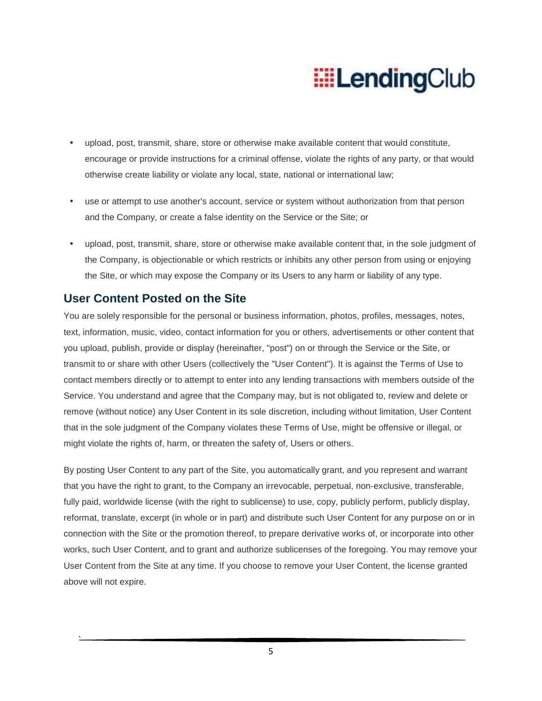- upload, post, transmit, share, store or otherwise make available content that would constitute, encourage or provide instructions for a criminal offense, violate the rights of any party, or that would otherwise create liability or violate any local, state, national or international law;
- use or attempt to use another's account, service or system without authorization from that person and the Company, or create a false identity on the Service or the Site; or
- upload, post, transmit, share, store or otherwise make available content that, in the sole judgment of the Company, is objectionable or which restricts or inhibits any other person from using or enjoying the Site, or which may expose the Company or its Users to any harm or liability of any type.

#### **User Content Posted on the Site**

`

You are solely responsible for the personal or business information, photos, profiles, messages, notes, text, information, music, video, contact information for you or others, advertisements or other content that you upload, publish, provide or display (hereinafter, "post") on or through the Service or the Site, or transmit to or share with other Users (collectively the "User Content"). It is against the Terms of Use to contact members directly or to attempt to enter into any lending transactions with members outside of the Service. You understand and agree that the Company may, but is not obligated to, review and delete or remove (without notice) any User Content in its sole discretion, including without limitation, User Content that in the sole judgment of the Company violates these Terms of Use, might be offensive or illegal, or might violate the rights of, harm, or threaten the safety of, Users or others.

By posting User Content to any part of the Site, you automatically grant, and you represent and warrant that you have the right to grant, to the Company an irrevocable, perpetual, non-exclusive, transferable, fully paid, worldwide license (with the right to sublicense) to use, copy, publicly perform, publicly display, reformat, translate, excerpt (in whole or in part) and distribute such User Content for any purpose on or in connection with the Site or the promotion thereof, to prepare derivative works of, or incorporate into other works, such User Content, and to grant and authorize sublicenses of the foregoing. You may remove your User Content from the Site at any time. If you choose to remove your User Content, the license granted above will not expire.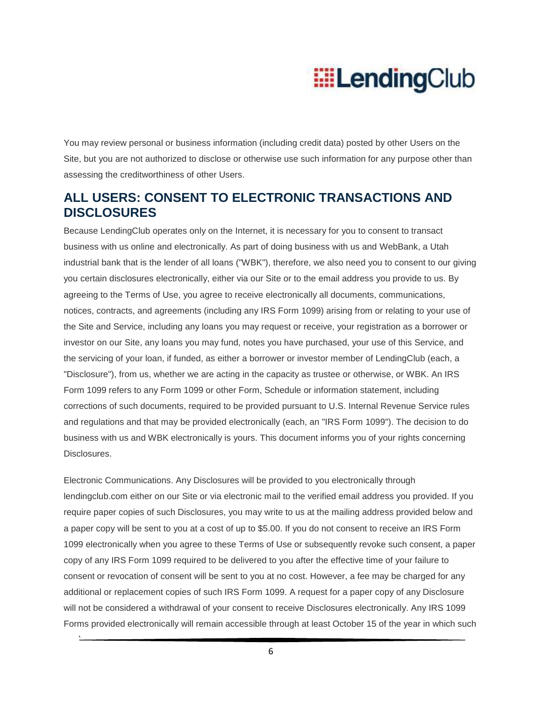You may review personal or business information (including credit data) posted by other Users on the Site, but you are not authorized to disclose or otherwise use such information for any purpose other than assessing the creditworthiness of other Users.

### **ALL USERS: CONSENT TO ELECTRONIC TRANSACTIONS AND DISCLOSURES**

Because LendingClub operates only on the Internet, it is necessary for you to consent to transact business with us online and electronically. As part of doing business with us and WebBank, a Utah industrial bank that is the lender of all loans ("WBK"), therefore, we also need you to consent to our giving you certain disclosures electronically, either via our Site or to the email address you provide to us. By agreeing to the Terms of Use, you agree to receive electronically all documents, communications, notices, contracts, and agreements (including any IRS Form 1099) arising from or relating to your use of the Site and Service, including any loans you may request or receive, your registration as a borrower or investor on our Site, any loans you may fund, notes you have purchased, your use of this Service, and the servicing of your loan, if funded, as either a borrower or investor member of LendingClub (each, a "Disclosure"), from us, whether we are acting in the capacity as trustee or otherwise, or WBK. An IRS Form 1099 refers to any Form 1099 or other Form, Schedule or information statement, including corrections of such documents, required to be provided pursuant to U.S. Internal Revenue Service rules and regulations and that may be provided electronically (each, an "IRS Form 1099"). The decision to do business with us and WBK electronically is yours. This document informs you of your rights concerning Disclosures.

Electronic Communications. Any Disclosures will be provided to you electronically through lendingclub.com either on our Site or via electronic mail to the verified email address you provided. If you require paper copies of such Disclosures, you may write to us at the mailing address provided below and a paper copy will be sent to you at a cost of up to \$5.00. If you do not consent to receive an IRS Form 1099 electronically when you agree to these Terms of Use or subsequently revoke such consent, a paper copy of any IRS Form 1099 required to be delivered to you after the effective time of your failure to consent or revocation of consent will be sent to you at no cost. However, a fee may be charged for any additional or replacement copies of such IRS Form 1099. A request for a paper copy of any Disclosure will not be considered a withdrawal of your consent to receive Disclosures electronically. Any IRS 1099 Forms provided electronically will remain accessible through at least October 15 of the year in which such

6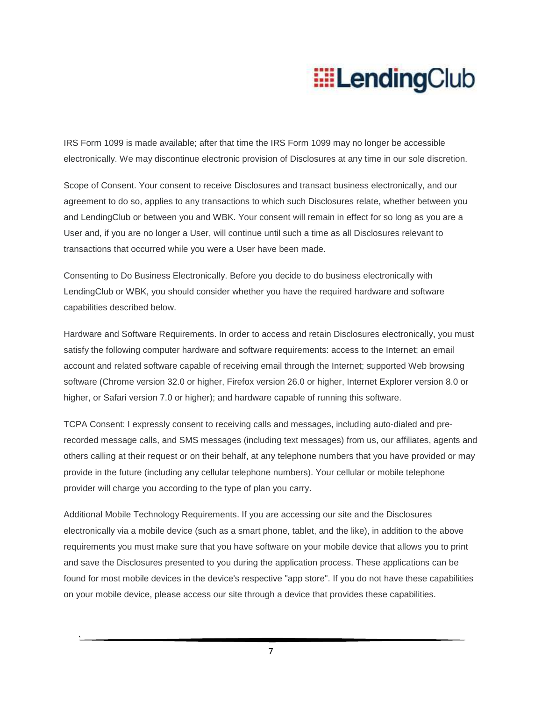IRS Form 1099 is made available; after that time the IRS Form 1099 may no longer be accessible electronically. We may discontinue electronic provision of Disclosures at any time in our sole discretion.

Scope of Consent. Your consent to receive Disclosures and transact business electronically, and our agreement to do so, applies to any transactions to which such Disclosures relate, whether between you and LendingClub or between you and WBK. Your consent will remain in effect for so long as you are a User and, if you are no longer a User, will continue until such a time as all Disclosures relevant to transactions that occurred while you were a User have been made.

Consenting to Do Business Electronically. Before you decide to do business electronically with LendingClub or WBK, you should consider whether you have the required hardware and software capabilities described below.

Hardware and Software Requirements. In order to access and retain Disclosures electronically, you must satisfy the following computer hardware and software requirements: access to the Internet; an email account and related software capable of receiving email through the Internet; supported Web browsing software (Chrome version 32.0 or higher, Firefox version 26.0 or higher, Internet Explorer version 8.0 or higher, or Safari version 7.0 or higher); and hardware capable of running this software.

TCPA Consent: I expressly consent to receiving calls and messages, including auto-dialed and prerecorded message calls, and SMS messages (including text messages) from us, our affiliates, agents and others calling at their request or on their behalf, at any telephone numbers that you have provided or may provide in the future (including any cellular telephone numbers). Your cellular or mobile telephone provider will charge you according to the type of plan you carry.

Additional Mobile Technology Requirements. If you are accessing our site and the Disclosures electronically via a mobile device (such as a smart phone, tablet, and the like), in addition to the above requirements you must make sure that you have software on your mobile device that allows you to print and save the Disclosures presented to you during the application process. These applications can be found for most mobile devices in the device's respective "app store". If you do not have these capabilities on your mobile device, please access our site through a device that provides these capabilities.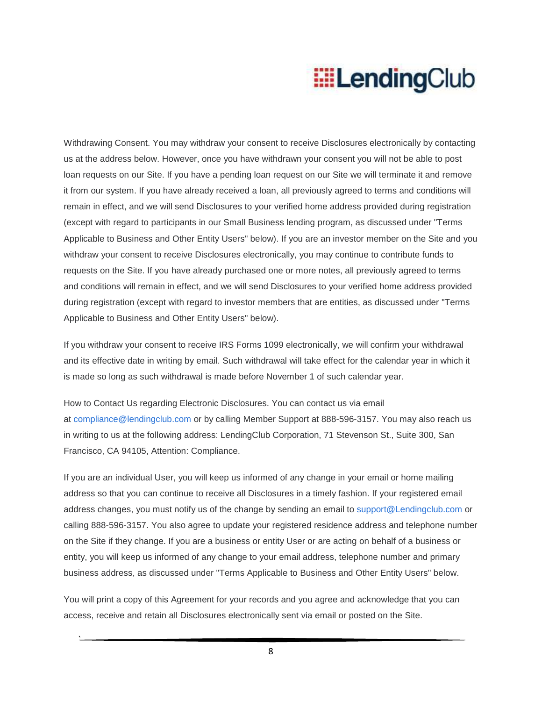Withdrawing Consent. You may withdraw your consent to receive Disclosures electronically by contacting us at the address below. However, once you have withdrawn your consent you will not be able to post loan requests on our Site. If you have a pending loan request on our Site we will terminate it and remove it from our system. If you have already received a loan, all previously agreed to terms and conditions will remain in effect, and we will send Disclosures to your verified home address provided during registration (except with regard to participants in our Small Business lending program, as discussed under "Terms Applicable to Business and Other Entity Users" below). If you are an investor member on the Site and you withdraw your consent to receive Disclosures electronically, you may continue to contribute funds to requests on the Site. If you have already purchased one or more notes, all previously agreed to terms and conditions will remain in effect, and we will send Disclosures to your verified home address provided during registration (except with regard to investor members that are entities, as discussed under "Terms Applicable to Business and Other Entity Users" below).

If you withdraw your consent to receive IRS Forms 1099 electronically, we will confirm your withdrawal and its effective date in writing by email. Such withdrawal will take effect for the calendar year in which it is made so long as such withdrawal is made before November 1 of such calendar year.

How to Contact Us regarding Electronic Disclosures. You can contact us via email at compliance@lendingclub.com or by calling Member Support at 888-596-3157. You may also reach us in writing to us at the following address: LendingClub Corporation, 71 Stevenson St., Suite 300, San Francisco, CA 94105, Attention: Compliance.

If you are an individual User, you will keep us informed of any change in your email or home mailing address so that you can continue to receive all Disclosures in a timely fashion. If your registered email address changes, you must notify us of the change by sending an email to support@Lendingclub.com or calling 888-596-3157. You also agree to update your registered residence address and telephone number on the Site if they change. If you are a business or entity User or are acting on behalf of a business or entity, you will keep us informed of any change to your email address, telephone number and primary business address, as discussed under "Terms Applicable to Business and Other Entity Users" below.

You will print a copy of this Agreement for your records and you agree and acknowledge that you can access, receive and retain all Disclosures electronically sent via email or posted on the Site.

`

8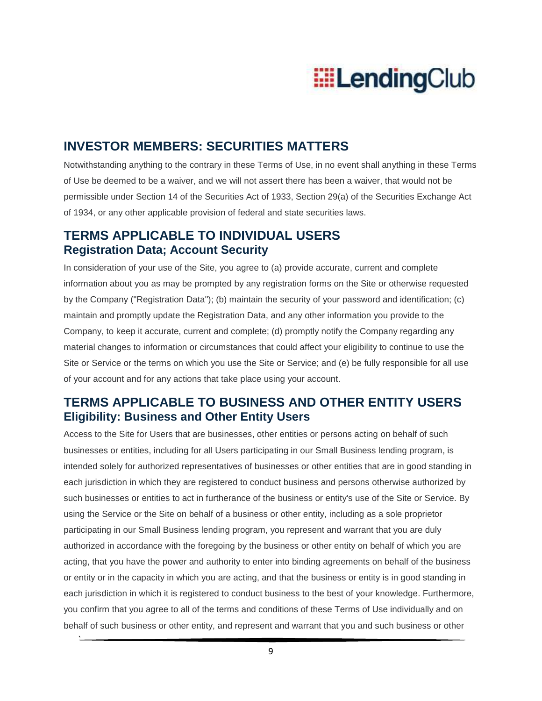

#### **INVESTOR MEMBERS: SECURITIES MATTERS**

Notwithstanding anything to the contrary in these Terms of Use, in no event shall anything in these Terms of Use be deemed to be a waiver, and we will not assert there has been a waiver, that would not be permissible under Section 14 of the Securities Act of 1933, Section 29(a) of the Securities Exchange Act of 1934, or any other applicable provision of federal and state securities laws.

### **TERMS APPLICABLE TO INDIVIDUAL USERS Registration Data; Account Security**

In consideration of your use of the Site, you agree to (a) provide accurate, current and complete information about you as may be prompted by any registration forms on the Site or otherwise requested by the Company ("Registration Data"); (b) maintain the security of your password and identification; (c) maintain and promptly update the Registration Data, and any other information you provide to the Company, to keep it accurate, current and complete; (d) promptly notify the Company regarding any material changes to information or circumstances that could affect your eligibility to continue to use the Site or Service or the terms on which you use the Site or Service; and (e) be fully responsible for all use of your account and for any actions that take place using your account.

### **TERMS APPLICABLE TO BUSINESS AND OTHER ENTITY USERS Eligibility: Business and Other Entity Users**

Access to the Site for Users that are businesses, other entities or persons acting on behalf of such businesses or entities, including for all Users participating in our Small Business lending program, is intended solely for authorized representatives of businesses or other entities that are in good standing in each jurisdiction in which they are registered to conduct business and persons otherwise authorized by such businesses or entities to act in furtherance of the business or entity's use of the Site or Service. By using the Service or the Site on behalf of a business or other entity, including as a sole proprietor participating in our Small Business lending program, you represent and warrant that you are duly authorized in accordance with the foregoing by the business or other entity on behalf of which you are acting, that you have the power and authority to enter into binding agreements on behalf of the business or entity or in the capacity in which you are acting, and that the business or entity is in good standing in each jurisdiction in which it is registered to conduct business to the best of your knowledge. Furthermore, you confirm that you agree to all of the terms and conditions of these Terms of Use individually and on behalf of such business or other entity, and represent and warrant that you and such business or other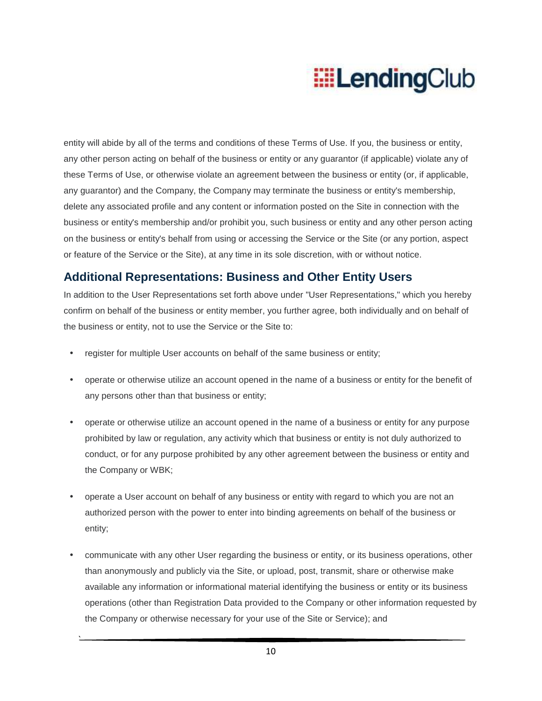entity will abide by all of the terms and conditions of these Terms of Use. If you, the business or entity, any other person acting on behalf of the business or entity or any guarantor (if applicable) violate any of these Terms of Use, or otherwise violate an agreement between the business or entity (or, if applicable, any guarantor) and the Company, the Company may terminate the business or entity's membership, delete any associated profile and any content or information posted on the Site in connection with the business or entity's membership and/or prohibit you, such business or entity and any other person acting on the business or entity's behalf from using or accessing the Service or the Site (or any portion, aspect or feature of the Service or the Site), at any time in its sole discretion, with or without notice.

#### **Additional Representations: Business and Other Entity Users**

In addition to the User Representations set forth above under "User Representations," which you hereby confirm on behalf of the business or entity member, you further agree, both individually and on behalf of the business or entity, not to use the Service or the Site to:

- register for multiple User accounts on behalf of the same business or entity;
- operate or otherwise utilize an account opened in the name of a business or entity for the benefit of any persons other than that business or entity;
- operate or otherwise utilize an account opened in the name of a business or entity for any purpose prohibited by law or regulation, any activity which that business or entity is not duly authorized to conduct, or for any purpose prohibited by any other agreement between the business or entity and the Company or WBK;
- operate a User account on behalf of any business or entity with regard to which you are not an authorized person with the power to enter into binding agreements on behalf of the business or entity;
- communicate with any other User regarding the business or entity, or its business operations, other than anonymously and publicly via the Site, or upload, post, transmit, share or otherwise make available any information or informational material identifying the business or entity or its business operations (other than Registration Data provided to the Company or other information requested by the Company or otherwise necessary for your use of the Site or Service); and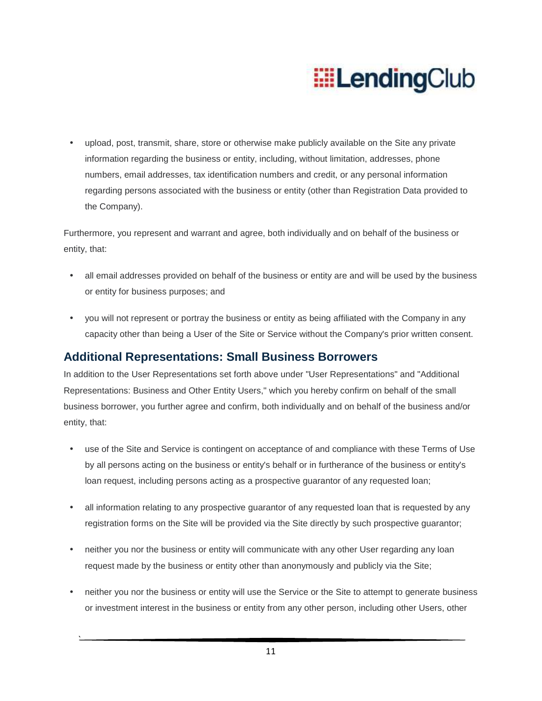• upload, post, transmit, share, store or otherwise make publicly available on the Site any private information regarding the business or entity, including, without limitation, addresses, phone numbers, email addresses, tax identification numbers and credit, or any personal information regarding persons associated with the business or entity (other than Registration Data provided to the Company).

Furthermore, you represent and warrant and agree, both individually and on behalf of the business or entity, that:

- all email addresses provided on behalf of the business or entity are and will be used by the business or entity for business purposes; and
- you will not represent or portray the business or entity as being affiliated with the Company in any capacity other than being a User of the Site or Service without the Company's prior written consent.

### **Additional Representations: Small Business Borrowers**

In addition to the User Representations set forth above under "User Representations" and "Additional Representations: Business and Other Entity Users," which you hereby confirm on behalf of the small business borrower, you further agree and confirm, both individually and on behalf of the business and/or entity, that:

- use of the Site and Service is contingent on acceptance of and compliance with these Terms of Use by all persons acting on the business or entity's behalf or in furtherance of the business or entity's loan request, including persons acting as a prospective guarantor of any requested loan;
- all information relating to any prospective guarantor of any requested loan that is requested by any registration forms on the Site will be provided via the Site directly by such prospective guarantor;
- neither you nor the business or entity will communicate with any other User regarding any loan request made by the business or entity other than anonymously and publicly via the Site;
- neither you nor the business or entity will use the Service or the Site to attempt to generate business or investment interest in the business or entity from any other person, including other Users, other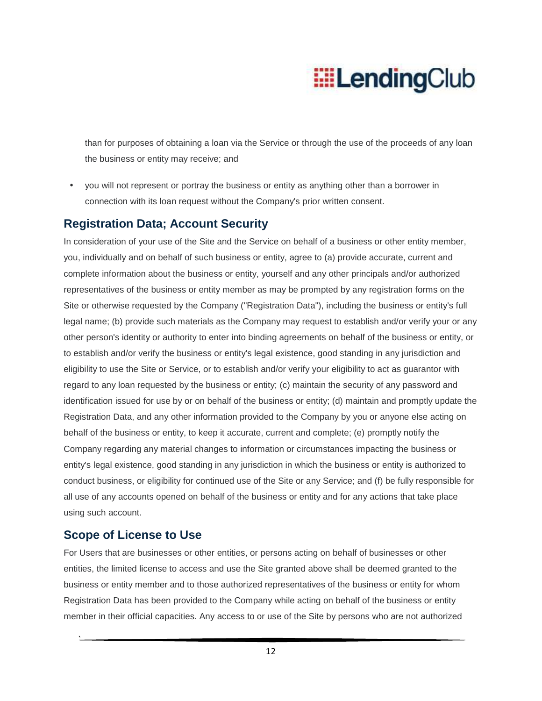than for purposes of obtaining a loan via the Service or through the use of the proceeds of any loan the business or entity may receive; and

• you will not represent or portray the business or entity as anything other than a borrower in connection with its loan request without the Company's prior written consent.

#### **Registration Data; Account Security**

In consideration of your use of the Site and the Service on behalf of a business or other entity member, you, individually and on behalf of such business or entity, agree to (a) provide accurate, current and complete information about the business or entity, yourself and any other principals and/or authorized representatives of the business or entity member as may be prompted by any registration forms on the Site or otherwise requested by the Company ("Registration Data"), including the business or entity's full legal name; (b) provide such materials as the Company may request to establish and/or verify your or any other person's identity or authority to enter into binding agreements on behalf of the business or entity, or to establish and/or verify the business or entity's legal existence, good standing in any jurisdiction and eligibility to use the Site or Service, or to establish and/or verify your eligibility to act as guarantor with regard to any loan requested by the business or entity; (c) maintain the security of any password and identification issued for use by or on behalf of the business or entity; (d) maintain and promptly update the Registration Data, and any other information provided to the Company by you or anyone else acting on behalf of the business or entity, to keep it accurate, current and complete; (e) promptly notify the Company regarding any material changes to information or circumstances impacting the business or entity's legal existence, good standing in any jurisdiction in which the business or entity is authorized to conduct business, or eligibility for continued use of the Site or any Service; and (f) be fully responsible for all use of any accounts opened on behalf of the business or entity and for any actions that take place using such account.

#### **Scope of License to Use**

`

For Users that are businesses or other entities, or persons acting on behalf of businesses or other entities, the limited license to access and use the Site granted above shall be deemed granted to the business or entity member and to those authorized representatives of the business or entity for whom Registration Data has been provided to the Company while acting on behalf of the business or entity member in their official capacities. Any access to or use of the Site by persons who are not authorized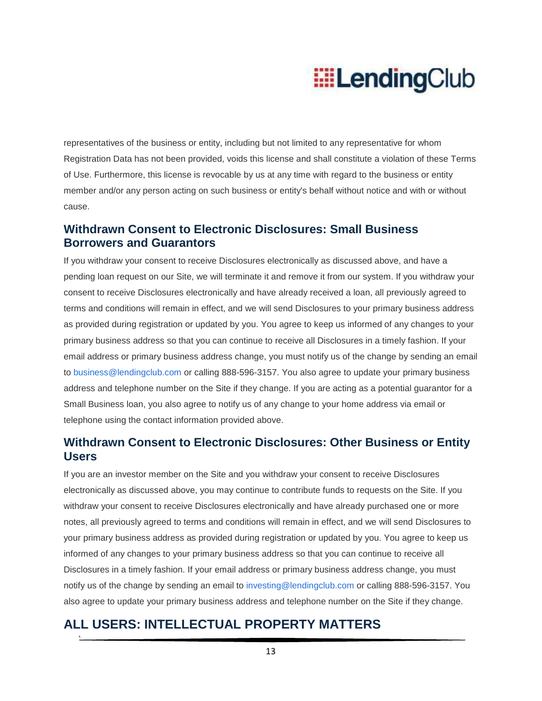representatives of the business or entity, including but not limited to any representative for whom Registration Data has not been provided, voids this license and shall constitute a violation of these Terms of Use. Furthermore, this license is revocable by us at any time with regard to the business or entity member and/or any person acting on such business or entity's behalf without notice and with or without cause.

#### **Withdrawn Consent to Electronic Disclosures: Small Business Borrowers and Guarantors**

If you withdraw your consent to receive Disclosures electronically as discussed above, and have a pending loan request on our Site, we will terminate it and remove it from our system. If you withdraw your consent to receive Disclosures electronically and have already received a loan, all previously agreed to terms and conditions will remain in effect, and we will send Disclosures to your primary business address as provided during registration or updated by you. You agree to keep us informed of any changes to your primary business address so that you can continue to receive all Disclosures in a timely fashion. If your email address or primary business address change, you must notify us of the change by sending an email to business@lendingclub.com or calling 888-596-3157. You also agree to update your primary business address and telephone number on the Site if they change. If you are acting as a potential guarantor for a Small Business loan, you also agree to notify us of any change to your home address via email or telephone using the contact information provided above.

### **Withdrawn Consent to Electronic Disclosures: Other Business or Entity Users**

If you are an investor member on the Site and you withdraw your consent to receive Disclosures electronically as discussed above, you may continue to contribute funds to requests on the Site. If you withdraw your consent to receive Disclosures electronically and have already purchased one or more notes, all previously agreed to terms and conditions will remain in effect, and we will send Disclosures to your primary business address as provided during registration or updated by you. You agree to keep us informed of any changes to your primary business address so that you can continue to receive all Disclosures in a timely fashion. If your email address or primary business address change, you must notify us of the change by sending an email to investing@lendingclub.com or calling 888-596-3157. You also agree to update your primary business address and telephone number on the Site if they change.

## **ALL USERS: INTELLECTUAL PROPERTY MATTERS**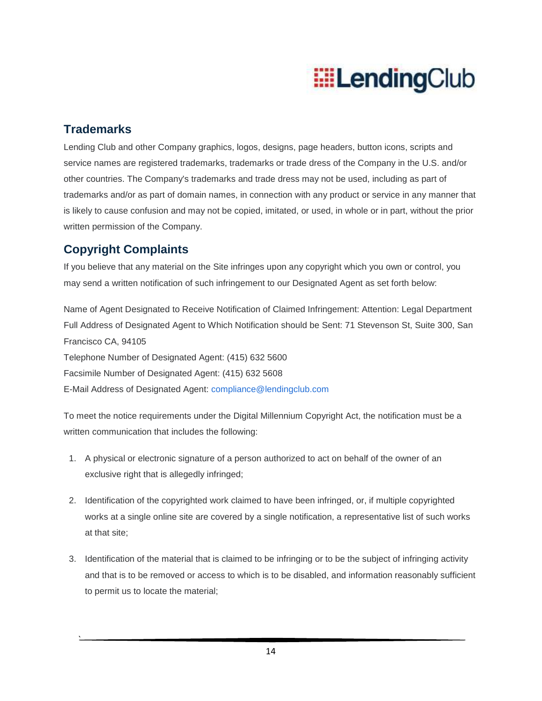### **Trademarks**

`

Lending Club and other Company graphics, logos, designs, page headers, button icons, scripts and service names are registered trademarks, trademarks or trade dress of the Company in the U.S. and/or other countries. The Company's trademarks and trade dress may not be used, including as part of trademarks and/or as part of domain names, in connection with any product or service in any manner that is likely to cause confusion and may not be copied, imitated, or used, in whole or in part, without the prior written permission of the Company.

### **Copyright Complaints**

If you believe that any material on the Site infringes upon any copyright which you own or control, you may send a written notification of such infringement to our Designated Agent as set forth below:

Name of Agent Designated to Receive Notification of Claimed Infringement: Attention: Legal Department Full Address of Designated Agent to Which Notification should be Sent: 71 Stevenson St, Suite 300, San Francisco CA, 94105 Telephone Number of Designated Agent: (415) 632 5600 Facsimile Number of Designated Agent: (415) 632 5608 E-Mail Address of Designated Agent: compliance@lendingclub.com

To meet the notice requirements under the Digital Millennium Copyright Act, the notification must be a written communication that includes the following:

- 1. A physical or electronic signature of a person authorized to act on behalf of the owner of an exclusive right that is allegedly infringed;
- 2. Identification of the copyrighted work claimed to have been infringed, or, if multiple copyrighted works at a single online site are covered by a single notification, a representative list of such works at that site;
- 3. Identification of the material that is claimed to be infringing or to be the subject of infringing activity and that is to be removed or access to which is to be disabled, and information reasonably sufficient to permit us to locate the material;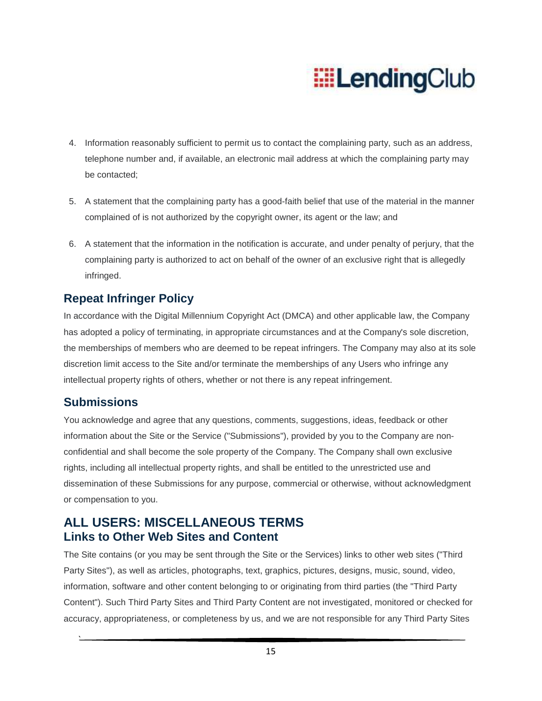- 4. Information reasonably sufficient to permit us to contact the complaining party, such as an address, telephone number and, if available, an electronic mail address at which the complaining party may be contacted;
- 5. A statement that the complaining party has a good-faith belief that use of the material in the manner complained of is not authorized by the copyright owner, its agent or the law; and
- 6. A statement that the information in the notification is accurate, and under penalty of perjury, that the complaining party is authorized to act on behalf of the owner of an exclusive right that is allegedly infringed.

### **Repeat Infringer Policy**

In accordance with the Digital Millennium Copyright Act (DMCA) and other applicable law, the Company has adopted a policy of terminating, in appropriate circumstances and at the Company's sole discretion, the memberships of members who are deemed to be repeat infringers. The Company may also at its sole discretion limit access to the Site and/or terminate the memberships of any Users who infringe any intellectual property rights of others, whether or not there is any repeat infringement.

#### **Submissions**

`

You acknowledge and agree that any questions, comments, suggestions, ideas, feedback or other information about the Site or the Service ("Submissions"), provided by you to the Company are nonconfidential and shall become the sole property of the Company. The Company shall own exclusive rights, including all intellectual property rights, and shall be entitled to the unrestricted use and dissemination of these Submissions for any purpose, commercial or otherwise, without acknowledgment or compensation to you.

### **ALL USERS: MISCELLANEOUS TERMS Links to Other Web Sites and Content**

The Site contains (or you may be sent through the Site or the Services) links to other web sites ("Third Party Sites"), as well as articles, photographs, text, graphics, pictures, designs, music, sound, video, information, software and other content belonging to or originating from third parties (the "Third Party Content"). Such Third Party Sites and Third Party Content are not investigated, monitored or checked for accuracy, appropriateness, or completeness by us, and we are not responsible for any Third Party Sites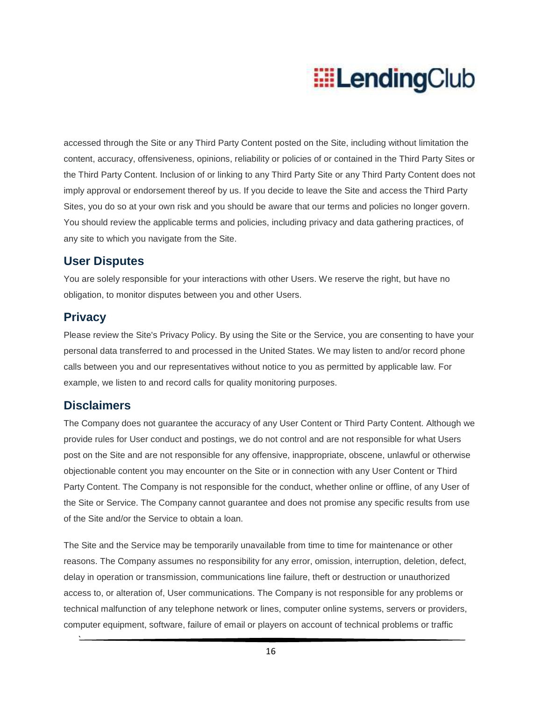accessed through the Site or any Third Party Content posted on the Site, including without limitation the content, accuracy, offensiveness, opinions, reliability or policies of or contained in the Third Party Sites or the Third Party Content. Inclusion of or linking to any Third Party Site or any Third Party Content does not imply approval or endorsement thereof by us. If you decide to leave the Site and access the Third Party Sites, you do so at your own risk and you should be aware that our terms and policies no longer govern. You should review the applicable terms and policies, including privacy and data gathering practices, of any site to which you navigate from the Site.

#### **User Disputes**

You are solely responsible for your interactions with other Users. We reserve the right, but have no obligation, to monitor disputes between you and other Users.

### **Privacy**

Please review the Site's Privacy Policy. By using the Site or the Service, you are consenting to have your personal data transferred to and processed in the United States. We may listen to and/or record phone calls between you and our representatives without notice to you as permitted by applicable law. For example, we listen to and record calls for quality monitoring purposes.

### **Disclaimers**

`

The Company does not guarantee the accuracy of any User Content or Third Party Content. Although we provide rules for User conduct and postings, we do not control and are not responsible for what Users post on the Site and are not responsible for any offensive, inappropriate, obscene, unlawful or otherwise objectionable content you may encounter on the Site or in connection with any User Content or Third Party Content. The Company is not responsible for the conduct, whether online or offline, of any User of the Site or Service. The Company cannot guarantee and does not promise any specific results from use of the Site and/or the Service to obtain a loan.

The Site and the Service may be temporarily unavailable from time to time for maintenance or other reasons. The Company assumes no responsibility for any error, omission, interruption, deletion, defect, delay in operation or transmission, communications line failure, theft or destruction or unauthorized access to, or alteration of, User communications. The Company is not responsible for any problems or technical malfunction of any telephone network or lines, computer online systems, servers or providers, computer equipment, software, failure of email or players on account of technical problems or traffic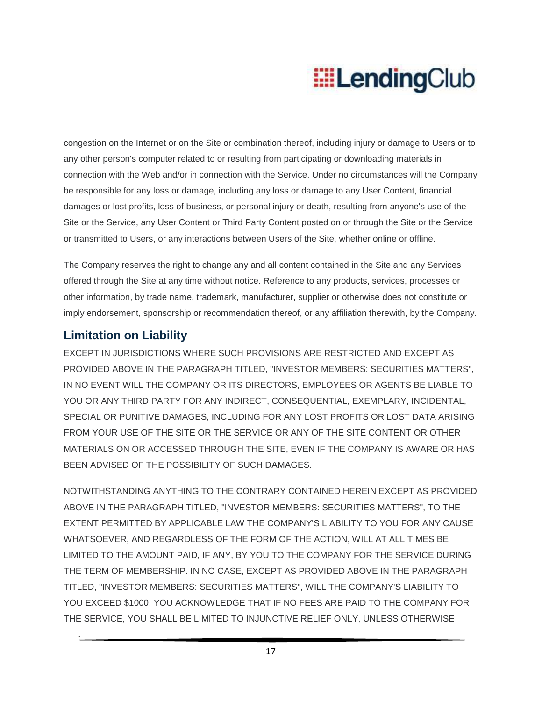congestion on the Internet or on the Site or combination thereof, including injury or damage to Users or to any other person's computer related to or resulting from participating or downloading materials in connection with the Web and/or in connection with the Service. Under no circumstances will the Company be responsible for any loss or damage, including any loss or damage to any User Content, financial damages or lost profits, loss of business, or personal injury or death, resulting from anyone's use of the Site or the Service, any User Content or Third Party Content posted on or through the Site or the Service or transmitted to Users, or any interactions between Users of the Site, whether online or offline.

The Company reserves the right to change any and all content contained in the Site and any Services offered through the Site at any time without notice. Reference to any products, services, processes or other information, by trade name, trademark, manufacturer, supplier or otherwise does not constitute or imply endorsement, sponsorship or recommendation thereof, or any affiliation therewith, by the Company.

### **Limitation on Liability**

`

EXCEPT IN JURISDICTIONS WHERE SUCH PROVISIONS ARE RESTRICTED AND EXCEPT AS PROVIDED ABOVE IN THE PARAGRAPH TITLED, "INVESTOR MEMBERS: SECURITIES MATTERS", IN NO EVENT WILL THE COMPANY OR ITS DIRECTORS, EMPLOYEES OR AGENTS BE LIABLE TO YOU OR ANY THIRD PARTY FOR ANY INDIRECT, CONSEQUENTIAL, EXEMPLARY, INCIDENTAL, SPECIAL OR PUNITIVE DAMAGES, INCLUDING FOR ANY LOST PROFITS OR LOST DATA ARISING FROM YOUR USE OF THE SITE OR THE SERVICE OR ANY OF THE SITE CONTENT OR OTHER MATERIALS ON OR ACCESSED THROUGH THE SITE, EVEN IF THE COMPANY IS AWARE OR HAS BEEN ADVISED OF THE POSSIBILITY OF SUCH DAMAGES.

NOTWITHSTANDING ANYTHING TO THE CONTRARY CONTAINED HEREIN EXCEPT AS PROVIDED ABOVE IN THE PARAGRAPH TITLED, "INVESTOR MEMBERS: SECURITIES MATTERS", TO THE EXTENT PERMITTED BY APPLICABLE LAW THE COMPANY'S LIABILITY TO YOU FOR ANY CAUSE WHATSOEVER, AND REGARDLESS OF THE FORM OF THE ACTION, WILL AT ALL TIMES BE LIMITED TO THE AMOUNT PAID, IF ANY, BY YOU TO THE COMPANY FOR THE SERVICE DURING THE TERM OF MEMBERSHIP. IN NO CASE, EXCEPT AS PROVIDED ABOVE IN THE PARAGRAPH TITLED, "INVESTOR MEMBERS: SECURITIES MATTERS", WILL THE COMPANY'S LIABILITY TO YOU EXCEED \$1000. YOU ACKNOWLEDGE THAT IF NO FEES ARE PAID TO THE COMPANY FOR THE SERVICE, YOU SHALL BE LIMITED TO INJUNCTIVE RELIEF ONLY, UNLESS OTHERWISE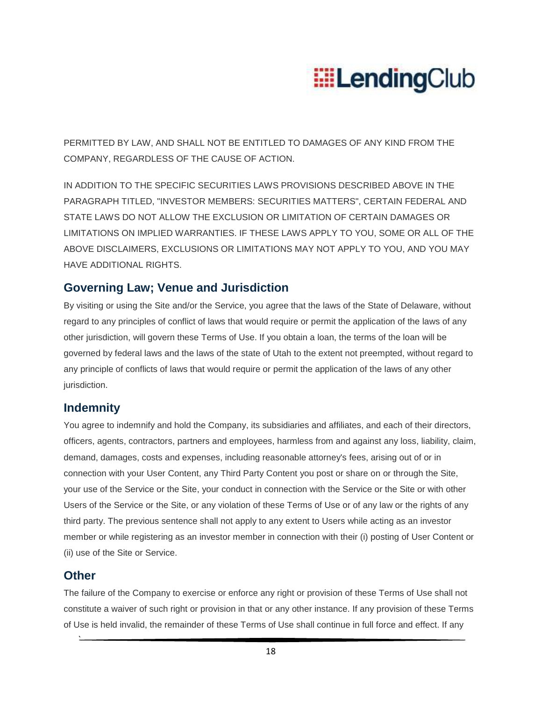

PERMITTED BY LAW, AND SHALL NOT BE ENTITLED TO DAMAGES OF ANY KIND FROM THE COMPANY, REGARDLESS OF THE CAUSE OF ACTION.

IN ADDITION TO THE SPECIFIC SECURITIES LAWS PROVISIONS DESCRIBED ABOVE IN THE PARAGRAPH TITLED, "INVESTOR MEMBERS: SECURITIES MATTERS", CERTAIN FEDERAL AND STATE LAWS DO NOT ALLOW THE EXCLUSION OR LIMITATION OF CERTAIN DAMAGES OR LIMITATIONS ON IMPLIED WARRANTIES. IF THESE LAWS APPLY TO YOU, SOME OR ALL OF THE ABOVE DISCLAIMERS, EXCLUSIONS OR LIMITATIONS MAY NOT APPLY TO YOU, AND YOU MAY HAVE ADDITIONAL RIGHTS.

#### **Governing Law; Venue and Jurisdiction**

By visiting or using the Site and/or the Service, you agree that the laws of the State of Delaware, without regard to any principles of conflict of laws that would require or permit the application of the laws of any other jurisdiction, will govern these Terms of Use. If you obtain a loan, the terms of the loan will be governed by federal laws and the laws of the state of Utah to the extent not preempted, without regard to any principle of conflicts of laws that would require or permit the application of the laws of any other jurisdiction.

#### **Indemnity**

You agree to indemnify and hold the Company, its subsidiaries and affiliates, and each of their directors, officers, agents, contractors, partners and employees, harmless from and against any loss, liability, claim, demand, damages, costs and expenses, including reasonable attorney's fees, arising out of or in connection with your User Content, any Third Party Content you post or share on or through the Site, your use of the Service or the Site, your conduct in connection with the Service or the Site or with other Users of the Service or the Site, or any violation of these Terms of Use or of any law or the rights of any third party. The previous sentence shall not apply to any extent to Users while acting as an investor member or while registering as an investor member in connection with their (i) posting of User Content or (ii) use of the Site or Service.

#### **Other**

`

The failure of the Company to exercise or enforce any right or provision of these Terms of Use shall not constitute a waiver of such right or provision in that or any other instance. If any provision of these Terms of Use is held invalid, the remainder of these Terms of Use shall continue in full force and effect. If any